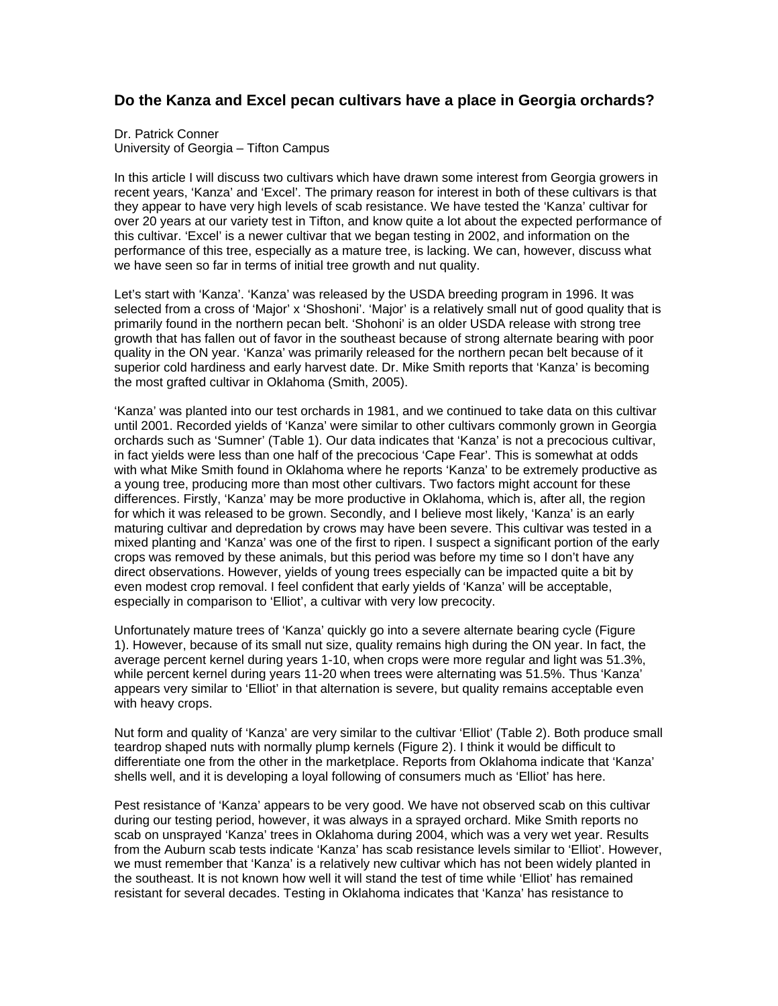## **Do the Kanza and Excel pecan cultivars have a place in Georgia orchards?**

Dr. Patrick Conner University of Georgia – Tifton Campus

In this article I will discuss two cultivars which have drawn some interest from Georgia growers in recent years, 'Kanza' and 'Excel'. The primary reason for interest in both of these cultivars is that they appear to have very high levels of scab resistance. We have tested the 'Kanza' cultivar for over 20 years at our variety test in Tifton, and know quite a lot about the expected performance of this cultivar. 'Excel' is a newer cultivar that we began testing in 2002, and information on the performance of this tree, especially as a mature tree, is lacking. We can, however, discuss what we have seen so far in terms of initial tree growth and nut quality.

Let's start with 'Kanza'. 'Kanza' was released by the USDA breeding program in 1996. It was selected from a cross of 'Major' x 'Shoshoni'. 'Major' is a relatively small nut of good quality that is primarily found in the northern pecan belt. 'Shohoni' is an older USDA release with strong tree growth that has fallen out of favor in the southeast because of strong alternate bearing with poor quality in the ON year. 'Kanza' was primarily released for the northern pecan belt because of it superior cold hardiness and early harvest date. Dr. Mike Smith reports that 'Kanza' is becoming the most grafted cultivar in Oklahoma (Smith, 2005).

'Kanza' was planted into our test orchards in 1981, and we continued to take data on this cultivar until 2001. Recorded yields of 'Kanza' were similar to other cultivars commonly grown in Georgia orchards such as 'Sumner' (Table 1). Our data indicates that 'Kanza' is not a precocious cultivar, in fact yields were less than one half of the precocious 'Cape Fear'. This is somewhat at odds with what Mike Smith found in Oklahoma where he reports 'Kanza' to be extremely productive as a young tree, producing more than most other cultivars. Two factors might account for these differences. Firstly, 'Kanza' may be more productive in Oklahoma, which is, after all, the region for which it was released to be grown. Secondly, and I believe most likely, 'Kanza' is an early maturing cultivar and depredation by crows may have been severe. This cultivar was tested in a mixed planting and 'Kanza' was one of the first to ripen. I suspect a significant portion of the early crops was removed by these animals, but this period was before my time so I don't have any direct observations. However, yields of young trees especially can be impacted quite a bit by even modest crop removal. I feel confident that early yields of 'Kanza' will be acceptable, especially in comparison to 'Elliot', a cultivar with very low precocity.

Unfortunately mature trees of 'Kanza' quickly go into a severe alternate bearing cycle (Figure 1). However, because of its small nut size, quality remains high during the ON year. In fact, the average percent kernel during years 1-10, when crops were more regular and light was 51.3%, while percent kernel during years 11-20 when trees were alternating was 51.5%. Thus 'Kanza' appears very similar to 'Elliot' in that alternation is severe, but quality remains acceptable even with heavy crops.

Nut form and quality of 'Kanza' are very similar to the cultivar 'Elliot' (Table 2). Both produce small teardrop shaped nuts with normally plump kernels (Figure 2). I think it would be difficult to differentiate one from the other in the marketplace. Reports from Oklahoma indicate that 'Kanza' shells well, and it is developing a loyal following of consumers much as 'Elliot' has here.

Pest resistance of 'Kanza' appears to be very good. We have not observed scab on this cultivar during our testing period, however, it was always in a sprayed orchard. Mike Smith reports no scab on unsprayed 'Kanza' trees in Oklahoma during 2004, which was a very wet year. Results from the Auburn scab tests indicate 'Kanza' has scab resistance levels similar to 'Elliot'. However, we must remember that 'Kanza' is a relatively new cultivar which has not been widely planted in the southeast. It is not known how well it will stand the test of time while 'Elliot' has remained resistant for several decades. Testing in Oklahoma indicates that 'Kanza' has resistance to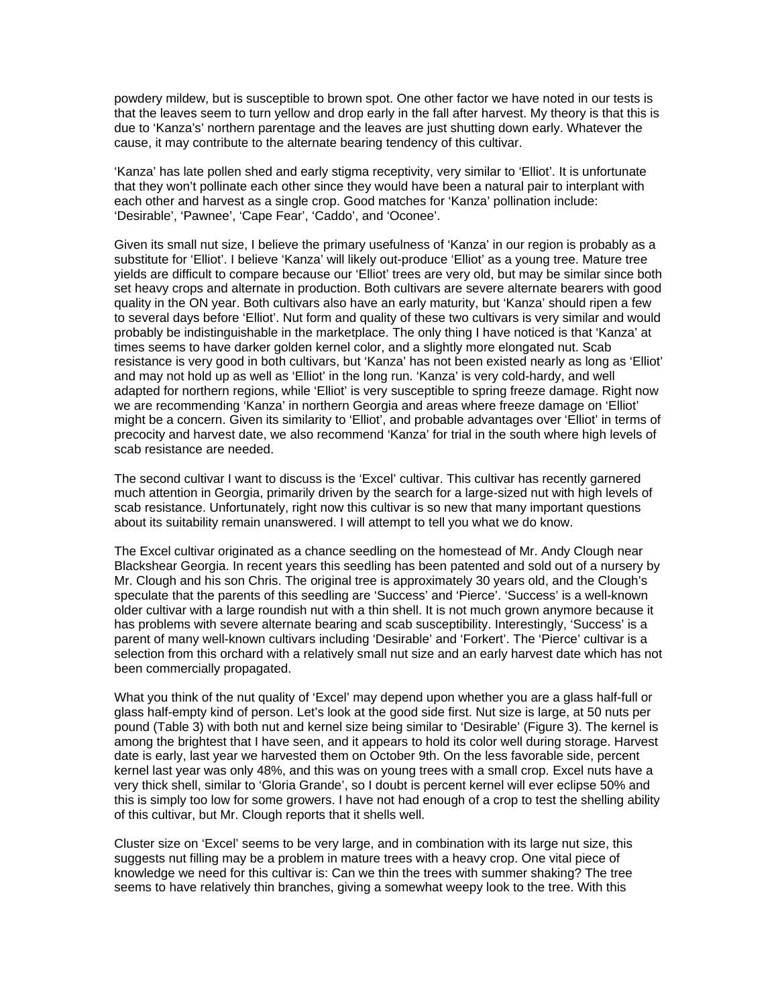powdery mildew, but is susceptible to brown spot. One other factor we have noted in our tests is that the leaves seem to turn yellow and drop early in the fall after harvest. My theory is that this is due to 'Kanza's' northern parentage and the leaves are just shutting down early. Whatever the cause, it may contribute to the alternate bearing tendency of this cultivar.

'Kanza' has late pollen shed and early stigma receptivity, very similar to 'Elliot'. It is unfortunate that they won't pollinate each other since they would have been a natural pair to interplant with each other and harvest as a single crop. Good matches for 'Kanza' pollination include: 'Desirable', 'Pawnee', 'Cape Fear', 'Caddo', and 'Oconee'.

Given its small nut size, I believe the primary usefulness of 'Kanza' in our region is probably as a substitute for 'Elliot'. I believe 'Kanza' will likely out-produce 'Elliot' as a young tree. Mature tree yields are difficult to compare because our 'Elliot' trees are very old, but may be similar since both set heavy crops and alternate in production. Both cultivars are severe alternate bearers with good quality in the ON year. Both cultivars also have an early maturity, but 'Kanza' should ripen a few to several days before 'Elliot'. Nut form and quality of these two cultivars is very similar and would probably be indistinguishable in the marketplace. The only thing I have noticed is that 'Kanza' at times seems to have darker golden kernel color, and a slightly more elongated nut. Scab resistance is very good in both cultivars, but 'Kanza' has not been existed nearly as long as 'Elliot' and may not hold up as well as 'Elliot' in the long run. 'Kanza' is very cold-hardy, and well adapted for northern regions, while 'Elliot' is very susceptible to spring freeze damage. Right now we are recommending 'Kanza' in northern Georgia and areas where freeze damage on 'Elliot' might be a concern. Given its similarity to 'Elliot', and probable advantages over 'Elliot' in terms of precocity and harvest date, we also recommend 'Kanza' for trial in the south where high levels of scab resistance are needed.

The second cultivar I want to discuss is the 'Excel' cultivar. This cultivar has recently garnered much attention in Georgia, primarily driven by the search for a large-sized nut with high levels of scab resistance. Unfortunately, right now this cultivar is so new that many important questions about its suitability remain unanswered. I will attempt to tell you what we do know.

The Excel cultivar originated as a chance seedling on the homestead of Mr. Andy Clough near Blackshear Georgia. In recent years this seedling has been patented and sold out of a nursery by Mr. Clough and his son Chris. The original tree is approximately 30 years old, and the Clough's speculate that the parents of this seedling are 'Success' and 'Pierce'. 'Success' is a well-known older cultivar with a large roundish nut with a thin shell. It is not much grown anymore because it has problems with severe alternate bearing and scab susceptibility. Interestingly, 'Success' is a parent of many well-known cultivars including 'Desirable' and 'Forkert'. The 'Pierce' cultivar is a selection from this orchard with a relatively small nut size and an early harvest date which has not been commercially propagated.

What you think of the nut quality of 'Excel' may depend upon whether you are a glass half-full or glass half-empty kind of person. Let's look at the good side first. Nut size is large, at 50 nuts per pound (Table 3) with both nut and kernel size being similar to 'Desirable' (Figure 3). The kernel is among the brightest that I have seen, and it appears to hold its color well during storage. Harvest date is early, last year we harvested them on October 9th. On the less favorable side, percent kernel last year was only 48%, and this was on young trees with a small crop. Excel nuts have a very thick shell, similar to 'Gloria Grande', so I doubt is percent kernel will ever eclipse 50% and this is simply too low for some growers. I have not had enough of a crop to test the shelling ability of this cultivar, but Mr. Clough reports that it shells well.

Cluster size on 'Excel' seems to be very large, and in combination with its large nut size, this suggests nut filling may be a problem in mature trees with a heavy crop. One vital piece of knowledge we need for this cultivar is: Can we thin the trees with summer shaking? The tree seems to have relatively thin branches, giving a somewhat weepy look to the tree. With this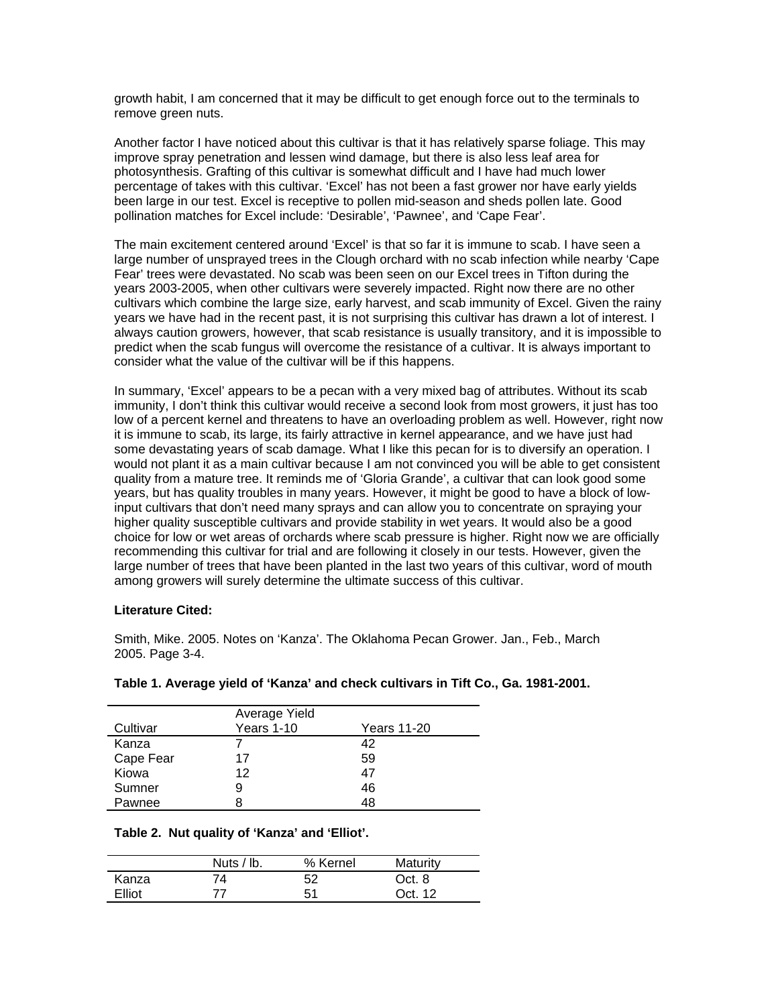growth habit, I am concerned that it may be difficult to get enough force out to the terminals to remove green nuts.

Another factor I have noticed about this cultivar is that it has relatively sparse foliage. This may improve spray penetration and lessen wind damage, but there is also less leaf area for photosynthesis. Grafting of this cultivar is somewhat difficult and I have had much lower percentage of takes with this cultivar. 'Excel' has not been a fast grower nor have early yields been large in our test. Excel is receptive to pollen mid-season and sheds pollen late. Good pollination matches for Excel include: 'Desirable', 'Pawnee', and 'Cape Fear'.

The main excitement centered around 'Excel' is that so far it is immune to scab. I have seen a large number of unsprayed trees in the Clough orchard with no scab infection while nearby 'Cape Fear' trees were devastated. No scab was been seen on our Excel trees in Tifton during the years 2003-2005, when other cultivars were severely impacted. Right now there are no other cultivars which combine the large size, early harvest, and scab immunity of Excel. Given the rainy years we have had in the recent past, it is not surprising this cultivar has drawn a lot of interest. I always caution growers, however, that scab resistance is usually transitory, and it is impossible to predict when the scab fungus will overcome the resistance of a cultivar. It is always important to consider what the value of the cultivar will be if this happens.

In summary, 'Excel' appears to be a pecan with a very mixed bag of attributes. Without its scab immunity, I don't think this cultivar would receive a second look from most growers, it just has too low of a percent kernel and threatens to have an overloading problem as well. However, right now it is immune to scab, its large, its fairly attractive in kernel appearance, and we have just had some devastating years of scab damage. What I like this pecan for is to diversify an operation. I would not plant it as a main cultivar because I am not convinced you will be able to get consistent quality from a mature tree. It reminds me of 'Gloria Grande', a cultivar that can look good some years, but has quality troubles in many years. However, it might be good to have a block of lowinput cultivars that don't need many sprays and can allow you to concentrate on spraying your higher quality susceptible cultivars and provide stability in wet years. It would also be a good choice for low or wet areas of orchards where scab pressure is higher. Right now we are officially recommending this cultivar for trial and are following it closely in our tests. However, given the large number of trees that have been planted in the last two years of this cultivar, word of mouth among growers will surely determine the ultimate success of this cultivar.

## **Literature Cited:**

Smith, Mike. 2005. Notes on 'Kanza'. The Oklahoma Pecan Grower. Jan., Feb., March 2005. Page 3-4.

|           | Average Yield |             |  |
|-----------|---------------|-------------|--|
| Cultivar  | Years 1-10    | Years 11-20 |  |
| Kanza     |               | 42          |  |
| Cape Fear | 17            | 59          |  |
| Kiowa     | 12            | 47          |  |
| Sumner    | 9             | 46          |  |
| Pawnee    | 8             | 48          |  |

## **Table 1. Average yield of 'Kanza' and check cultivars in Tift Co., Ga. 1981-2001.**

## **Table 2. Nut quality of 'Kanza' and 'Elliot'.**

|        | Nuts / $ b $ . | % Kernel | Maturity |
|--------|----------------|----------|----------|
| Kanza  | 74             | 52       | Oct. 8   |
| Elliot | 77             | 51       | Oct. 12  |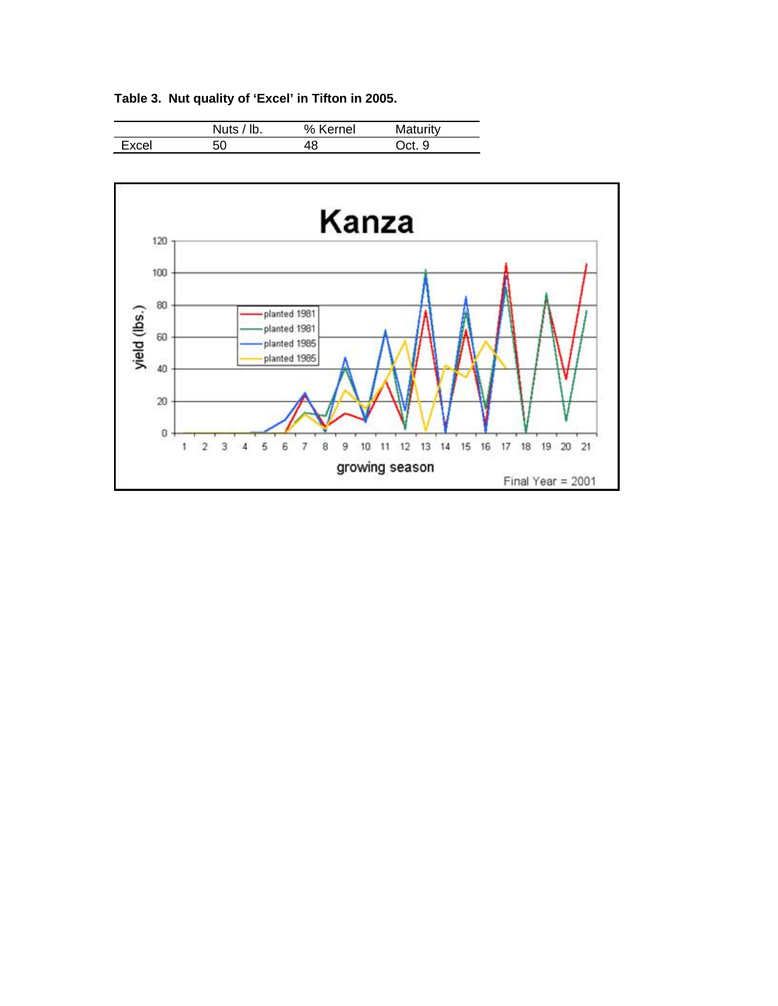|       | Nuts / $ b $ . | % Kernel | Maturity |  |
|-------|----------------|----------|----------|--|
| Excel | 50             | 48       | Oct. 9   |  |



**Table 3. Nut quality of 'Excel' in Tifton in 2005.**